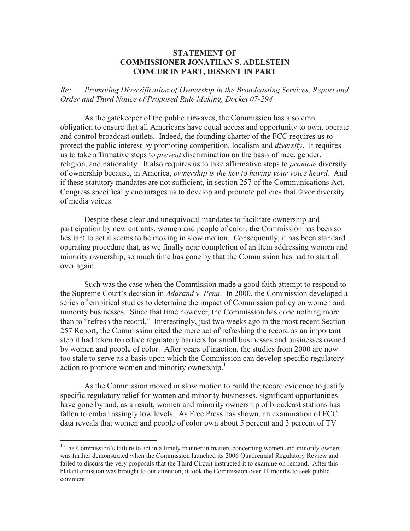## **STATEMENT OF COMMISSIONER JONATHAN S. ADELSTEIN CONCUR IN PART, DISSENT IN PART**

*Re: Promoting Diversification of Ownership in the Broadcasting Services, Report and Order and Third Notice of Proposed Rule Making, Docket 07-294*

As the gatekeeper of the public airwaves, the Commission has a solemn obligation to ensure that all Americans have equal access and opportunity to own, operate and control broadcast outlets. Indeed, the founding charter of the FCC requires us to protect the public interest by promoting competition, localism and *diversity*. It requires us to take affirmative steps to *prevent* discrimination on the basis of race, gender, religion, and nationality. It also requires us to take affirmative steps to *promote* diversity of ownership because, in America, *ownership is the key to having your voice heard.* And if these statutory mandates are not sufficient, in section 257 of the Communications Act, Congress specifically encourages us to develop and promote policies that favor diversity of media voices.

Despite these clear and unequivocal mandates to facilitate ownership and participation by new entrants, women and people of color, the Commission has been so hesitant to act it seems to be moving in slow motion. Consequently, it has been standard operating procedure that, as we finally near completion of an item addressing women and minority ownership, so much time has gone by that the Commission has had to start all over again.

Such was the case when the Commission made a good faith attempt to respond to the Supreme Court's decision in *Adarand v. Pena*. In 2000, the Commission developed a series of empirical studies to determine the impact of Commission policy on women and minority businesses. Since that time however, the Commission has done nothing more than to "refresh the record." Interestingly, just two weeks ago in the most recent Section 257 Report, the Commission cited the mere act of refreshing the record as an important step it had taken to reduce regulatory barriers for small businesses and businesses owned by women and people of color. After years of inaction, the studies from 2000 are now too stale to serve as a basis upon which the Commission can develop specific regulatory action to promote women and minority ownership. 1

As the Commission moved in slow motion to build the record evidence to justify specific regulatory relief for women and minority businesses, significant opportunities have gone by and, as a result, women and minority ownership of broadcast stations has fallen to embarrassingly low levels. As Free Press has shown, an examination of FCC data reveals that women and people of color own about 5 percent and 3 percent of TV

<sup>&</sup>lt;sup>1</sup> The Commission's failure to act in a timely manner in matters concerning women and minority owners was further demonstrated when the Commission launched its 2006 Quadrennial Regulatory Review and failed to discuss the very proposals that the Third Circuit instructed it to examine on remand. After this blatant omission was brought to our attention, it took the Commission over 11 months to seek public comment.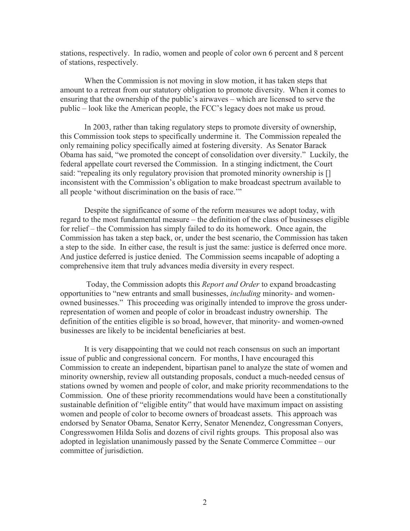stations, respectively. In radio, women and people of color own 6 percent and 8 percent of stations, respectively.

When the Commission is not moving in slow motion, it has taken steps that amount to a retreat from our statutory obligation to promote diversity. When it comes to ensuring that the ownership of the public's airwaves – which are licensed to serve the public – look like the American people, the FCC's legacy does not make us proud.

In 2003, rather than taking regulatory steps to promote diversity of ownership, this Commission took steps to specifically undermine it. The Commission repealed the only remaining policy specifically aimed at fostering diversity. As Senator Barack Obama has said, "we promoted the concept of consolidation over diversity." Luckily, the federal appellate court reversed the Commission. In a stinging indictment, the Court said: "repealing its only regulatory provision that promoted minority ownership is [] inconsistent with the Commission's obligation to make broadcast spectrum available to all people 'without discrimination on the basis of race.'"

Despite the significance of some of the reform measures we adopt today, with regard to the most fundamental measure – the definition of the class of businesses eligible for relief – the Commission has simply failed to do its homework. Once again, the Commission has taken a step back, or, under the best scenario, the Commission has taken a step to the side. In either case, the result is just the same: justice is deferred once more. And justice deferred is justice denied. The Commission seems incapable of adopting a comprehensive item that truly advances media diversity in every respect.

Today, the Commission adopts this *Report and Order* to expand broadcasting opportunities to "new entrants and small businesses, *including* minority- and womenowned businesses." This proceeding was originally intended to improve the gross underrepresentation of women and people of color in broadcast industry ownership. The definition of the entities eligible is so broad, however, that minority- and women-owned businesses are likely to be incidental beneficiaries at best.

It is very disappointing that we could not reach consensus on such an important issue of public and congressional concern. For months, I have encouraged this Commission to create an independent, bipartisan panel to analyze the state of women and minority ownership, review all outstanding proposals, conduct a much-needed census of stations owned by women and people of color, and make priority recommendations to the Commission. One of these priority recommendations would have been a constitutionally sustainable definition of "eligible entity" that would have maximum impact on assisting women and people of color to become owners of broadcast assets. This approach was endorsed by Senator Obama, Senator Kerry, Senator Menendez, Congressman Conyers, Congresswomen Hilda Solis and dozens of civil rights groups. This proposal also was adopted in legislation unanimously passed by the Senate Commerce Committee – our committee of jurisdiction.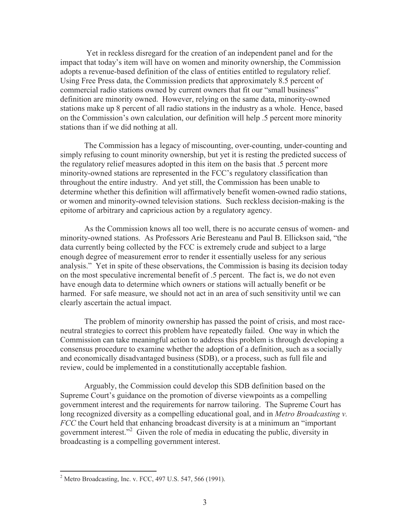Yet in reckless disregard for the creation of an independent panel and for the impact that today's item will have on women and minority ownership, the Commission adopts a revenue-based definition of the class of entities entitled to regulatory relief. Using Free Press data, the Commission predicts that approximately 8.5 percent of commercial radio stations owned by current owners that fit our "small business" definition are minority owned. However, relying on the same data, minority-owned stations make up 8 percent of all radio stations in the industry as a whole. Hence, based on the Commission's own calculation, our definition will help .5 percent more minority stations than if we did nothing at all.

The Commission has a legacy of miscounting, over-counting, under-counting and simply refusing to count minority ownership, but yet it is resting the predicted success of the regulatory relief measures adopted in this item on the basis that .5 percent more minority-owned stations are represented in the FCC's regulatory classification than throughout the entire industry. And yet still, the Commission has been unable to determine whether this definition will affirmatively benefit women-owned radio stations, or women and minority-owned television stations. Such reckless decision-making is the epitome of arbitrary and capricious action by a regulatory agency.

As the Commission knows all too well, there is no accurate census of women- and minority-owned stations. As Professors Arie Beresteanu and Paul B. Ellickson said, "the data currently being collected by the FCC is extremely crude and subject to a large enough degree of measurement error to render it essentially useless for any serious analysis." Yet in spite of these observations, the Commission is basing its decision today on the most speculative incremental benefit of .5 percent. The fact is, we do not even have enough data to determine which owners or stations will actually benefit or be harmed. For safe measure, we should not act in an area of such sensitivity until we can clearly ascertain the actual impact.

The problem of minority ownership has passed the point of crisis, and most raceneutral strategies to correct this problem have repeatedly failed. One way in which the Commission can take meaningful action to address this problem is through developing a consensus procedure to examine whether the adoption of a definition, such as a socially and economically disadvantaged business (SDB), or a process, such as full file and review, could be implemented in a constitutionally acceptable fashion.

Arguably, the Commission could develop this SDB definition based on the Supreme Court's guidance on the promotion of diverse viewpoints as a compelling government interest and the requirements for narrow tailoring. The Supreme Court has long recognized diversity as a compelling educational goal, and in *Metro Broadcasting v. FCC* the Court held that enhancing broadcast diversity is at a minimum an "important government interest."<sup>2</sup> Given the role of media in educating the public, diversity in broadcasting is a compelling government interest.

<sup>&</sup>lt;sup>2</sup> Metro Broadcasting, Inc. v. FCC, 497 U.S. 547, 566 (1991).